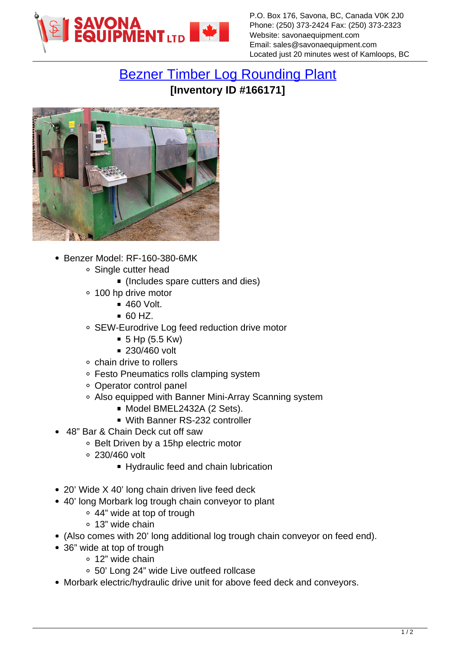

## [Bezner Timber Log Rounding Plant](https://www.savonaequipment.com/en/bezner-timber-log-rounding-plant-p166171) **[Inventory ID #166171]**



- Benzer Model: RF-160-380-6MK
	- Single cutter head
		- (Includes spare cutters and dies)
	- 100 hp drive motor
		- 460 Volt.
		- $-60$  HZ.
	- SEW-Eurodrive Log feed reduction drive motor
		- $\blacksquare$  5 Hp (5.5 Kw)
		- 230/460 volt
	- chain drive to rollers
	- Festo Pneumatics rolls clamping system
	- Operator control panel
	- Also equipped with Banner Mini-Array Scanning system
		- Model BMEL2432A (2 Sets).
		- With Banner RS-232 controller
- 48" Bar & Chain Deck cut off saw
	- Belt Driven by a 15hp electric motor
	- 230/460 volt
		- Hydraulic feed and chain lubrication
- 20' Wide X 40' long chain driven live feed deck
- 40' long Morbark log trough chain conveyor to plant
	- 44" wide at top of trough
	- 13" wide chain
- (Also comes with 20' long additional log trough chain conveyor on feed end).
- 36" wide at top of trough
	- 12" wide chain
	- 50' Long 24" wide Live outfeed rollcase
- Morbark electric/hydraulic drive unit for above feed deck and conveyors.